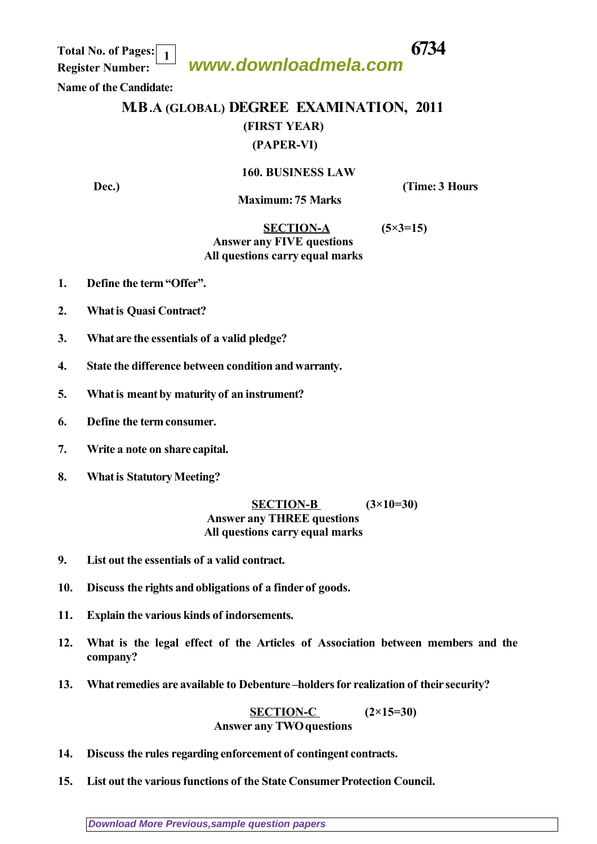**Total No. of Pages: 6734 Register Number: 1**

# **www.downloadmela.com**

 **Name of the Candidate:**

# **M.B.A (GLOBAL) DEGREE EXAMINATION, 2011 (FIRST YEAR) (PAPER-VI)**

### **160. BUSINESS LAW**

**Dec.**) **Contract Contract Contract Contract Contract Contract Contract Contract Contract Contract Contract Contract Contract Contract Contract Contract Contract Contract Contract Contract Contract Contract Contract Contra** 

 **Maximum: 75 Marks** 

### **SECTION-A (5×3=15)** *Answer any FIVE questions All questions carry equal marks*

- **1. Define the term "Offer".**
- **2. What is Quasi Contract?**
- **3. What are the essentials of a valid pledge?**
- **4. State the difference between condition and warranty.**
- **5. What is meant by maturity of an instrument?**
- **6. Define the term consumer.**
- **7. Write a note on share capital.**
- **8. What is Statutory Meeting?**

#### **SECTION-B (3×10=30)** *Answer any THREE questions All questions carry equal marks*

- **9. List out the essentials of a valid contract.**
- **10. Discuss the rights and obligations of a finder of goods.**
- **11. Explain the various kinds of indorsements.**
- **12. What is the legal effect of the Articles of Association between members and the company?**
- **13. What remedies are available to Debenture –holders for realization of their security?**

 **SECTION-C (2×15=30)** *Answer any TWO questions*

- **14. Discuss the rules regarding enforcement of contingent contracts.**
- **15. List out the various functions of the State Consumer Protection Council.**